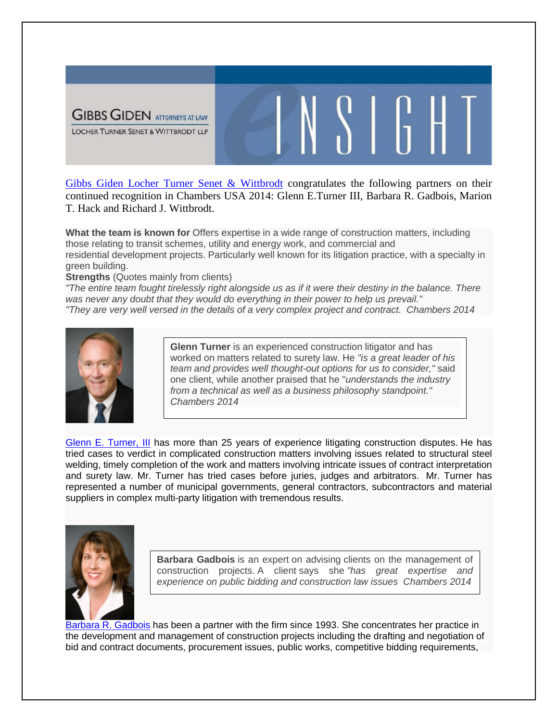

[Gibbs Giden Locher Turner Senet & Wittbrodt](http://gglts.jettmg.com/home) congratulates the following partners on their continued recognition in Chambers USA 2014: Glenn E.Turner III, Barbara R. Gadbois, Marion T. Hack and Richard J. Wittbrodt.

W

**What the team is known for** Offers expertise in a wide range of construction matters, including those relating to transit schemes, utility and energy work, and commercial and residential development projects. Particularly well known for its litigation practice, with a specialty in green building.

**Strengths** (Quotes mainly from clients)

"The entire team fought tirelessly right alongside us as if it were their destiny in the balance. There *was never any doubt that they would do everything in their power to help us prevail." "They are very well versed in the details of a very complex project and contract. Chambers 2014*



**Glenn Turner** is an experienced construction litigator and has worked on matters related to surety law. He *"is a great leader of his team and provides well thought-out options for us to consider,"* said one client, while another praised that he "*understands the industry from a technical as well as a business philosophy standpoint." Chambers 2014*

[Glenn E. Turner, III](http://gglts.jettmg.com/attorneysii/turner-iii-glenn-e) has more than 25 years of experience litigating construction disputes. He has tried cases to verdict in complicated construction matters involving issues related to structural steel welding, timely completion of the work and matters involving intricate issues of contract interpretation and surety law. Mr. Turner has tried cases before juries, judges and arbitrators. Mr. Turner has represented a number of municipal governments, general contractors, subcontractors and material suppliers in complex multi-party litigation with tremendous results.



**Barbara Gadbois** is an expert on advising clients on the management of construction projects. A client says she *"has great expertise and experience on public bidding and construction law issues Chambers 2014*

[Barbara R. Gadbois](http://gglts.jettmg.com/attorneysii/gadbois-barbara-r) has been a partner with the firm since 1993. She concentrates her practice in the development and management of construction projects including the drafting and negotiation of bid and contract documents, procurement issues, public works, competitive bidding requirements,